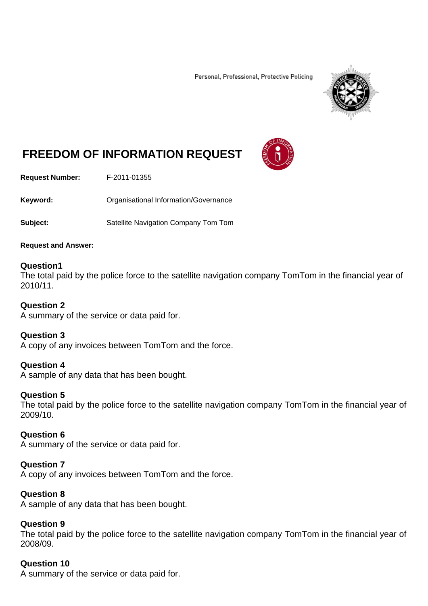Personal, Professional, Protective Policing



# **FREEDOM OF INFORMATION REQUEST**

**Request Number:** F-2011-01355

Keyword: **Communistry Communists** Organisational Information/Governance

**Subject:** Satellite Navigation Company Tom Tom

#### **Request and Answer:**

#### **Question1**

The total paid by the police force to the satellite navigation company TomTom in the financial year of 2010/11.

#### **Question 2**

A summary of the service or data paid for.

#### **Question 3**

A copy of any invoices between TomTom and the force.

## **Question 4**

A sample of any data that has been bought.

## **Question 5**

The total paid by the police force to the satellite navigation company TomTom in the financial year of 2009/10.

## **Question 6**

A summary of the service or data paid for.

## **Question 7**

A copy of any invoices between TomTom and the force.

## **Question 8**

A sample of any data that has been bought.

## **Question 9**

The total paid by the police force to the satellite navigation company TomTom in the financial year of 2008/09.

# **Question 10**

A summary of the service or data paid for.